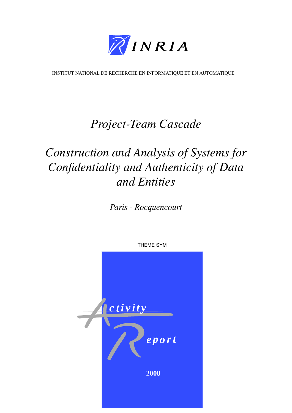

[INSTITUT NATIONAL DE RECHERCHE EN INFORMATIQUE ET EN AUTOMATIQUE](http://www.inria.fr)

# *[Project-Team Cascade](http://www.inria.fr/recherche/equipes/cascade.en.html)*

# *Construction and Analysis of Systems for Confidentiality and Authenticity of Data and Entities*

*[Paris - Rocquencourt](http://www.inria.fr/inria/organigramme/fiche_ur-rocq.fr.html)*

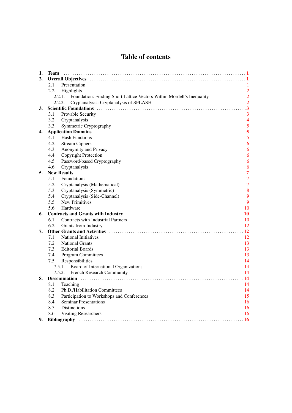## Table of contents

| 1. | <b>Team</b>                                                                                                                                                                                                                    |                       |
|----|--------------------------------------------------------------------------------------------------------------------------------------------------------------------------------------------------------------------------------|-----------------------|
| 2. |                                                                                                                                                                                                                                |                       |
|    | 2.1.<br>Presentation                                                                                                                                                                                                           |                       |
|    | 2.2.<br>Highlights                                                                                                                                                                                                             | $\overline{2}$        |
|    | Foundation: Finding Short Lattice Vectors Within Mordell's Inequality<br>2.2.1.                                                                                                                                                | $\overline{2}$        |
|    | Cryptanalysis: Cryptanalysis of SFLASH<br>2.2.2.                                                                                                                                                                               | $\overline{2}$        |
| 3. | Scientific Foundations (1) contain the control of the control of the control of the control of the control of the control of the control of the control of the control of the control of the control of the control of the con | 3                     |
|    | 3.1.<br>Provable Security                                                                                                                                                                                                      | 3                     |
|    | 3.2.<br>Cryptanalysis                                                                                                                                                                                                          | $\overline{4}$        |
|    | 3.3.<br>Symmetric Cryptography                                                                                                                                                                                                 | 5                     |
| 4. |                                                                                                                                                                                                                                |                       |
|    | <b>Hash Functions</b><br>4.1.                                                                                                                                                                                                  | 5                     |
|    | 4.2.<br><b>Stream Ciphers</b>                                                                                                                                                                                                  | 6                     |
|    | 4.3.<br>Anonymity and Privacy                                                                                                                                                                                                  | 6                     |
|    | Copyright Protection<br>4.4.                                                                                                                                                                                                   | 6                     |
|    | Password-based Cryptography<br>4.5.                                                                                                                                                                                            | 6                     |
|    | 4.6.<br>Cryptanalysis                                                                                                                                                                                                          | 6                     |
| 5. |                                                                                                                                                                                                                                | 7                     |
|    | 5.1.<br>Foundations                                                                                                                                                                                                            | 7                     |
|    | 5.2.<br>Cryptanalysis (Mathematical)                                                                                                                                                                                           | $\overline{7}$        |
|    | 5.3.<br>Cryptanalysis (Symmetric)                                                                                                                                                                                              | 8                     |
|    | 5.4.<br>Cryptanalysis (Side-Channel)                                                                                                                                                                                           | 9<br>9                |
|    | 5.5.<br><b>New Primitives</b><br>Hardware                                                                                                                                                                                      |                       |
|    | 5.6.                                                                                                                                                                                                                           | 10<br>$\overline{10}$ |
| 6. | 6.1.<br><b>Contracts with Industrial Partners</b>                                                                                                                                                                              | 10                    |
|    | 6.2.<br>Grants from Industry                                                                                                                                                                                                   | 12                    |
| 7. |                                                                                                                                                                                                                                | <b>12</b>             |
|    | 7.1.<br><b>National Initiatives</b>                                                                                                                                                                                            | 12                    |
|    | 7.2.<br><b>National Grants</b>                                                                                                                                                                                                 | 13                    |
|    | 7.3.<br><b>Editorial Boards</b>                                                                                                                                                                                                | 13                    |
|    | 7.4.<br><b>Program Committees</b>                                                                                                                                                                                              | 13                    |
|    | Responsibilities<br>7.5.                                                                                                                                                                                                       | 14                    |
|    | Board of International Organizations<br>7.5.1.                                                                                                                                                                                 | 14                    |
|    | French Research Community<br>7.5.2.                                                                                                                                                                                            | 14                    |
| 8. |                                                                                                                                                                                                                                | 14                    |
|    | 8.1.<br>Teaching                                                                                                                                                                                                               | 14                    |
|    | 8.2.<br>Ph.D./Habilitation Committees                                                                                                                                                                                          | 14                    |
|    | 8.3.<br>Participation to Workshops and Conferences                                                                                                                                                                             | 15                    |
|    | 8.4.<br><b>Seminar Presentations</b>                                                                                                                                                                                           | 16                    |
|    | 8.5.<br><b>Distinctions</b>                                                                                                                                                                                                    | 16                    |
|    | 8.6.<br><b>Visiting Researchers</b>                                                                                                                                                                                            | 16                    |
| 9. |                                                                                                                                                                                                                                | . 16                  |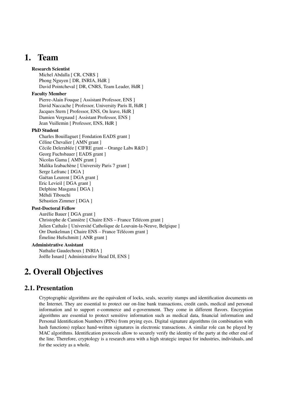## 1. Team

#### <span id="page-4-0"></span>Research Scientist

Michel Abdalla [ CR, CNRS ] Phong Nguyen [ DR, INRIA, HdR ] David Pointcheval [ DR, CNRS, Team Leader, HdR ]

#### Faculty Member

Pierre-Alain Fouque [ Assistant Professor, ENS ] David Naccache [ Professor, University Paris II, HdR ] Jacques Stern [ Professor, ENS, On leave, HdR ] Damien Vergnaud [ Assistant Professor, ENS ] Jean Vuillemin [ Professor, ENS, HdR ]

#### PhD Student

Charles Bouillaguet [ Fondation EADS grant ] Céline Chevalier [ AMN grant ] Cécile Delerablée [ CIFRE grant – Orange Labs R&D ] Georg Fuchsbauer [ EADS grant ] Nicolas Gama [ AMN grant ] Malika Izabachène [ University Paris 7 grant ] Serge Lefranc [ DGA ] Gaëtan Leurent [ DGA grant ] Eric Levieil [ DGA grant ] Delphine Masgana [ DGA ] Méhdi Tibouchi Sébastien Zimmer [ DGA ]

#### Post-Doctoral Fellow

Aurélie Bauer [ DGA grant ] Christophe de Cannière [ Chaire ENS – France Télécom grant ] Julien Cathalo [ Université Catholique de Louvain-la-Neuve, Belgique ] Orr Dunkelman [ Chaire ENS – France Télécom grant ] Émeline Hufschmitt [ ANR grant ]

#### Administrative Assistant

Nathalie Gaudechoux [ INRIA ] Joëlle Isnard [ Administrative Head DI, ENS ]

## <span id="page-4-1"></span>2. Overall Objectives

## 2.1. Presentation

<span id="page-4-2"></span>Cryptographic algorithms are the equivalent of locks, seals, security stamps and identification documents on the Internet. They are essential to protect our on-line bank transactions, credit cards, medical and personal information and to support e-commerce and e-government. They come in different flavors. Encryption algorithms are essential to protect sensitive information such as medical data, financial information and Personal Identification Numbers (PINs) from prying eyes. Digital signature algorithms (in combination with hash functions) replace hand-written signatures in electronic transactions. A similar role can be played by MAC algorithms. Identification protocols allow to securely verify the identity of the party at the other end of the line. Therefore, cryptology is a research area with a high strategic impact for industries, individuals, and for the society as a whole.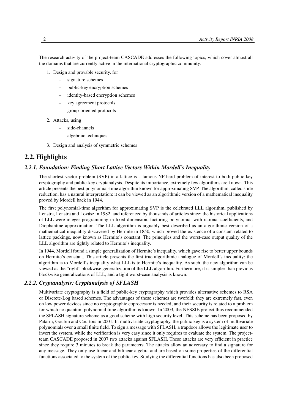The research activity of the project-team CASCADE addresses the following topics, which cover almost all the domains that are currently active in the international cryptographic community:

- 1. Design and provable security, for
	- signature schemes
	- public-key encryption schemes
	- identity-based encryption schemes
	- key agreement protocols
	- group-oriented protocols
- 2. Attacks, using
	- side-channels
	- algebraic techniques
- <span id="page-5-0"></span>3. Design and analysis of symmetric schemes

## 2.2. Highlights

#### *2.2.1. Foundation: Finding Short Lattice Vectors Within Mordell's Inequality*

<span id="page-5-1"></span>The shortest vector problem (SVP) in a lattice is a famous NP-hard problem of interest to both public-key cryptography and public-key cryptanalysis. Despite its importance, extremely few algorithms are known. This article presents the best polynomial-time algorithm known for approximating SVP. The algorithm, called slide reduction, has a natural interpretation: it can be viewed as an algorithmic version of a mathematical inequality proved by Mordell back in 1944.

The first polynomial-time algorithm for approximating SVP is the celebrated LLL algorithm, published by Lenstra, Lenstra and Lovász in 1982, and referenced by thousands of articles since: the historical applications of LLL were integer programming in fixed dimension, factoring polynomial with rational coefficients, and Diophantine approximation. The LLL algorithm is arguably best described as an algorithmic version of a mathematical inequality discovered by Hermite in 1850, which proved the existence of a constant related to lattice packings, now known as Hermite's constant. The principles and the worst-case output quality of the LLL algorithm are tightly related to Hermite's inequality.

In 1944, Mordell found a simple generalization of Hermite's inequality, which gave rise to better upper bounds on Hermite's constant. This article presents the first true algorithmic analogue of Mordell's inequality: the algorithm is to Mordell's inequality what LLL is to Hermite's inequality. As such, the new algorithm can be viewed as the "right" blockwise generalization of the LLL algorithm. Furthermore, it is simpler than previous blockwise generalizations of LLL, and a tight worst-case analysis is known.

### *2.2.2. Cryptanalysis: Cryptanalysis of SFLASH*

<span id="page-5-2"></span>Multivariate cryptography is a field of public-key cryptography which provides alternative schemes to RSA or Discrete-Log based schemes. The advantages of these schemes are twofold: they are extremely fast, even on low power devices since no cryptographic coprocessor is needed; and their security is related to a problem for which no quantum polynomial time algorithm is known. In 2003, the NESSIE project thus recommended the SFLASH signature scheme as a good scheme with high security level. This scheme has been proposed by Patarin, Goubin and Courtois in 2001. In multivariate cryptography, the public key is a system of multivariate polynomials over a small finite field. To sign a message with SFLASH, a trapdoor allows the legitimate user to invert the system, while the verification is very easy since it only requires to evaluate the system. The projectteam CASCADE proposed in 2007 two attacks against SFLASH. These attacks are very efficient in practice since they require 3 minutes to break the parameters. The attacks allow an adversary to find a signature for any message. They only use linear and bilinear algebra and are based on some properties of the differential functions associated to the system of the public key. Studying the differential functions has also been proposed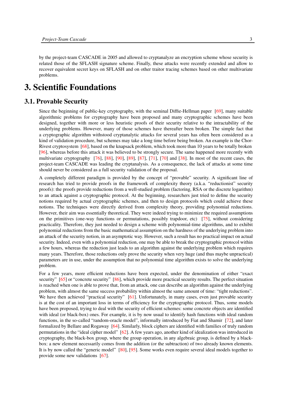by the project-team CASCADE in 2005 and allowed to cryptanalyze an encryption scheme whose security is related those of the SFLASH signature scheme. Finally, these attacks were recently extended and allow to recover equivalent secret keys on SFLASH and on other traitor tracing schemes based on other multivariate problems.

## <span id="page-6-0"></span>3. Scientific Foundations

## 3.1. Provable Security

<span id="page-6-1"></span>Since the beginning of public-key cryptography, with the seminal Diffie-Hellman paper [\[69\]](#page-25-0), many suitable algorithmic problems for cryptography have been proposed and many cryptographic schemes have been designed, together with more or less heuristic proofs of their security relative to the intractability of the underlying problems. However, many of those schemes have thereafter been broken. The simple fact that a cryptographic algorithm withstood cryptanalytic attacks for several years has often been considered as a kind of validation procedure, but schemes may take a long time before being broken. An example is the Chor-Rivest cryptosystem [\[68\]](#page-24-0), based on the knapsack problem, which took more than 10 years to be totally broken [\[96\]](#page-27-0), whereas before this attack it was believed to be strongly secure. The same happened more recently with multivariate cryptography [\[76\]](#page-25-1), [\[88\]](#page-26-0), [\[90\]](#page-26-1), [\[89\]](#page-26-2), [\[87\]](#page-26-3), [\[71\]](#page-25-2), [\[70\]](#page-25-3) and [\[38\]](#page-22-0). In most of the recent cases, the project-team CASCADE was leading the cryptanalysis. As a consequence, the lack of attacks at some time should never be considered as a full security validation of the proposal.

A completely different paradigm is provided by the concept of "provable" security. A significant line of research has tried to provide proofs in the framework of complexity theory (a.k.a. "reductionist" security proofs): the proofs provide reductions from a well-studied problem (factoring, RSA or the discrete logarithm) to an attack against a cryptographic protocol. At the beginning, researchers just tried to define the security notions required by actual cryptographic schemes, and then to design protocols which could achieve these notions. The techniques were directly derived from complexity theory, providing polynomial reductions. However, their aim was essentially theoretical. They were indeed trying to minimize the required assumptions on the primitives (one-way functions or permutations, possibly trapdoor, etc) [\[75\]](#page-25-4), without considering practicality. Therefore, they just needed to design a scheme with polynomial-time algorithms, and to exhibit polynomial reductions from the basic mathematical assumption on the hardness of the underlying problem into an attack of the security notion, in an asymptotic way. However, such a result has no practical impact on actual security. Indeed, even with a polynomial reduction, one may be able to break the cryptographic protocol within a few hours, whereas the reduction just leads to an algorithm against the underlying problem which requires many years. Therefore, those reductions only prove the security when very huge (and thus maybe unpractical) parameters are in use, under the assumption that no polynomial time algorithm exists to solve the underlying problem.

For a few years, more efficient reductions have been expected, under the denomination of either "exact security" [\[65\]](#page-24-1) or "concrete security" [\[86\]](#page-26-4), which provide more practical security results. The perfect situation is reached when one is able to prove that, from an attack, one can describe an algorithm against the underlying problem, with almost the same success probability within almost the same amount of time: "tight reductions". We have then achieved "practical security" [\[61\]](#page-24-2). Unfortunately, in many cases, even just provable security is at the cost of an important loss in terms of efficiency for the cryptographic protocol. Thus, some models have been proposed, trying to deal with the security of efficient schemes: some concrete objects are identified with ideal (or black-box) ones. For example, it is by now usual to identify hash functions with ideal random functions, in the so-called "random-oracle model", informally introduced by Fiat and Shamir [\[72\]](#page-25-5), and later formalized by Bellare and Rogaway [\[64\]](#page-24-3). Similarly, block ciphers are identified with families of truly random permutations in the "ideal cipher model" [\[62\]](#page-24-4). A few years ago, another kind of idealization was introduced in cryptography, the black-box group, where the group operation, in any algebraic group, is defined by a blackbox: a new element necessarily comes from the addition (or the subtraction) of two already known elements. It is by now called the "generic model" [\[80\]](#page-25-6), [\[95\]](#page-26-5). Some works even require several ideal models together to provide some new validations [\[67\]](#page-24-5).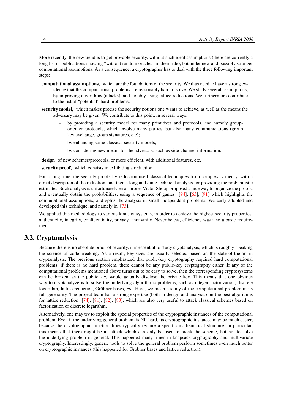More recently, the new trend is to get provable security, without such ideal assumptions (there are currently a long list of publications showing "without random oracles" in their title), but under new and possibly stronger computational assumptions. As a consequence, a cryptographer has to deal with the three following important steps:

- computational assumptions, which are the foundations of the security. We thus need to have a strong evidence that the computational problems are reasonably hard to solve. We study several assumptions, by improving algorithms (attacks), and notably using lattice reductions. We furthermore contribute to the list of "potential" hard problems.
- security model, which makes precise the security notions one wants to achieve, as well as the means the adversary may be given. We contribute to this point, in several ways:
	- by providing a security model for many primitives and protocols, and namely grouporiented protocols, which involve many parties, but also many communications (group key exchange, group signatures, etc);
	- by enhancing some classical security models;
	- by considering new means for the adversary, such as side-channel information.

design of new schemes/protocols, or more efficient, with additional features, etc.

security proof, which consists in exhibiting a reduction.

For a long time, the security proofs by reduction used classical techniques from complexity theory, with a direct description of the reduction, and then a long and quite technical analysis for providing the probabilistic estimates. Such analysis is unfortunately error-prone. Victor Shoup proposed a nice way to organize the proofs, and eventually obtain the probabilities, using a sequence of games [\[94\]](#page-26-6), [\[63\]](#page-24-6), [\[91\]](#page-26-7) which highlights the computational assumptions, and splits the analysis in small independent problems. We early adopted and developed this technique, and namely in [\[73\]](#page-25-7).

We applied this methodology to various kinds of systems, in order to achieve the highest security properties: authenticity, integrity, confidentiality, privacy, anonymity. Nevertheless, efficiency was also a basic requirement.

## 3.2. Cryptanalysis

<span id="page-7-0"></span>Because there is no absolute proof of security, it is essential to study cryptanalysis, which is roughly speaking the science of code-breaking. As a result, key-sizes are usually selected based on the state-of-the-art in cryptanalysis. The previous section emphasized that public-key cryptography required hard computational problems: if there is no hard problem, there cannot be any public-key cryptography either. If any of the computational problems mentioned above turns out to be easy to solve, then the corresponding cryptosystems can be broken, as the public key would actually disclose the private key. This means that one obvious way to cryptanalyze is to solve the underlying algorithmic problems, such as integer factorization, discrete logarithm, lattice reduction, Gröbner bases, *etc.* Here, we mean a study of the computational problem in its full generality. The project-team has a strong expertise (both in design and analysis) on the best algorithms for lattice reduction [\[74\]](#page-25-8), [\[81\]](#page-25-9), [\[82\]](#page-25-10), [\[83\]](#page-26-8), which are also very useful to attack classical schemes based on factorization or discrete logarithm.

Alternatively, one may try to exploit the special properties of the cryptographic instances of the computational problem. Even if the underlying general problem is NP-hard, its cryptographic instances may be much easier, because the cryptographic functionalities typically require a specific mathematical structure. In particular, this means that there might be an attack which can only be used to break the scheme, but not to solve the underlying problem in general. This happened many times in knapsack cryptography and multivariate cryptography. Interestingly, generic tools to solve the general problem perform sometimes even much better on cryptographic instances (this happened for Gröbner bases and lattice reduction).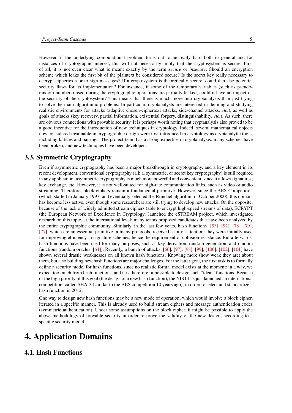However, if the underlying computational problem turns out to be really hard both in general and for instances of cryptographic interest, this will not necessarily imply that the cryptosystem is secure. First of all, it is not even clear what is meant exactly by the term *secure* or *insecure*. Should an encryption scheme which leaks the first bit of the plaintext be considered secure? Is the secret key really necessary to decrypt ciphertexts or to sign messages? If a cryptosystem is theoretically secure, could there be potential security flaws for its implementation? For instance, if some of the temporary variables (such as pseudorandom numbers) used during the cryptographic operations are partially leaked, could it have an impact on the security of the cryptosystem? This means that there is much more into cryptanalysis than just trying to solve the main algorithmic problems. In particular, cryptanalysts are interested in defining and studying realistic environments for attacks (adaptive chosen-ciphertext attacks, side-channel attacks, *etc.*), as well as goals of attacks (key recovery, partial information, existential forgery, distinguishability, *etc.*). As such, there are obvious connections with provable security. It is perhaps worth noting that cryptanalysis also proved to be a good incentive for the introduction of new techniques in cryptology. Indeed, several mathematical objects now considered invaluable in cryptographic design were first introduced in cryptology as cryptanalytic tools, including lattices and pairings. The project-team has a strong expertise in cryptanalysis: many schemes have been broken, and new techniques have been developed.

## 3.3. Symmetric Cryptography

<span id="page-8-0"></span>Even if asymmetric cryptography has been a major breakthrough in cryptography, and a key element in its recent development, conventional cryptography (a.k.a. symmetric, or secret key cryptography) is still required in any application: asymmetric cryptography is much more powerful and convenient, since it allows signatures, key exchange, etc. However, it is not well-suited for high-rate communication links, such as video or audio streaming. Therefore, block-ciphers remain a fundamental primitive. However, since the AES Competition (which started in January 1997, and eventually selected the Rijndael algorithm in October 2000), this domain has become less active, even though some researchers are still trying to develop new attacks. On the opposite, because of the lack of widely admitted stream ciphers (able to encrypt high-speed streams of data), ECRYPT (the European Network of Excellence in Cryptology) launched the eSTREAM project, which investigated research on this topic, at the international level: many teams proposed candidates that have been analyzed by the entire cryptographic community. Similarly, in the last few years, hash functions [\[93\]](#page-26-9), [\[92\]](#page-26-10), [\[78\]](#page-25-11), [\[79\]](#page-25-12), [\[77\]](#page-25-13), which are an essential primitive in many protocols, received a lot of attention: they were initially used for improving efficiency in signature schemes, hence the requirement of collision-resistance. But afterwards, hash functions have been used for many purposes, such as key derivation, random generation, and random functions (random oracles [\[64\]](#page-24-3)). Recently, a bunch of attacks [\[66\]](#page-24-7), [\[97\]](#page-27-1), [\[98\]](#page-27-2), [\[99\]](#page-27-3), [\[100\]](#page-27-4), [\[102\]](#page-27-5), [\[101\]](#page-27-6) have shown several drastic weaknesses on all known hash functions. Knowing more (how weak they are) about them, but also building new hash functions are major challenges. For the latter goal, the first task is to formally define a security model for hash functions, since no realistic formal model exists at the moment: in a way, we expect too much from hash functions, and it is therefore impossible to design such "ideal" functions. Because of the high priority of this goal (the design of a new hash function), the NIST has just launched an international competition, called SHA-3 (similar to the AES competition 10 years ago), in order to select and standardize a hash function in 2012.

One way to design new hash functions may be a new mode of operation, which would involve a block cipher, iterated in a specific manner. This is already used to build stream ciphers and message authentication codes (symmetric authentication). Under some assumptions on the block cipher, it might be possible to apply the above methodology of provable security in order to prove the validity of the new design, according to a specific security model.

## <span id="page-8-1"></span>4. Application Domains

## <span id="page-8-2"></span>4.1. Hash Functions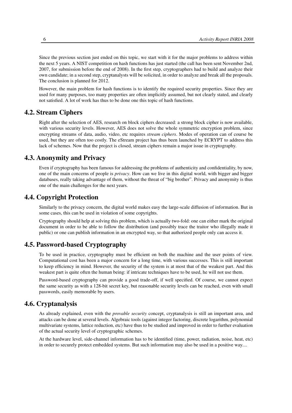Since the previous section just ended on this topic, we start with it for the major problems to address within the next 5 years. A NIST competition on hash functions has just started (the call has been sent November 2nd, 2007, for submission before the end of 2008). In the first step, cryptographers had to build and analyze their own candidate; in a second step, cryptanalysts will be solicited, in order to analyze and break all the proposals. The conclusion is planned for 2012.

However, the main problem for hash functions is to identify the required security properties. Since they are used for many purposes, too many properties are often implicitly assumed, but not clearly stated, and clearly not satisfied. A lot of work has thus to be done one this topic of hash functions.

## 4.2. Stream Ciphers

<span id="page-9-0"></span>Right after the selection of AES, research on block ciphers decreased: a strong block cipher is now available, with various security levels. However, AES does not solve the whole symmetric encryption problem, since encrypting streams of data, audio, video, etc requires *stream ciphers*. Modes of operation can of course be used, but they are often too costly. The eStream project has thus been launched by ECRYPT to address this lack of schemes. Now that the project is closed, stream ciphers remain a major issue in cryptography.

## 4.3. Anonymity and Privacy

<span id="page-9-1"></span>Even if cryptography has been famous for addressing the problems of authenticity and confidentiality, by now, one of the main concerns of people is *privacy*. How can we live in this digital world, with bigger and bigger databases, really taking advantage of them, without the threat of "big brother". Privacy and anonymity is thus one of the main challenges for the next years.

### 4.4. Copyright Protection

<span id="page-9-2"></span>Similarly to the privacy concern, the digital world makes easy the large-scale diffusion of information. But in some cases, this can be used in violation of some copyrights.

Cryptography should help at solving this problem, which is actually two-fold: one can either mark the original document in order to be able to follow the distribution (and possibly trace the traitor who illegally made it public) or one can publish information in an encrypted way, so that authorized people only can access it.

## 4.5. Password-based Cryptography

<span id="page-9-3"></span>To be used in practice, cryptography must be efficient on both the machine and the user points of view. Computational cost has been a major concern for a long time, with various successes. This is still important to keep efficiency in mind. However, the security of the system is at most that of the weakest part. And this weakest part is quite often the human being: if intricate techniques have to be used, he will not use them.

Password-based cryptography can provide a good trade-off, if well specified. Of course, we cannot expect the same security as with a 128-bit secret key, but reasonable security levels can be reached, even with small passwords, easily memorable by users.

## 4.6. Cryptanalysis

<span id="page-9-4"></span>As already explained, even with the *provable security* concept, cryptanalysis is still an important area, and attacks can be done at several levels. Algebraic tools (against integer factoring, discrete logarithm, polynomial multivariate systems, lattice reduction, etc) have thus to be studied and improved in order to further evaluation of the actual security level of cryptographic schemes.

At the hardware level, side-channel information has to be identified (time, power, radiation, noise, heat, etc) in order to securely protect embedded systems. But such information may also be used in a positive way....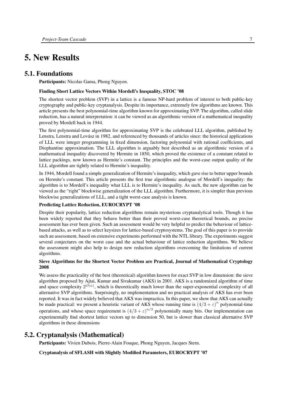## <span id="page-10-0"></span>5. New Results

## 5.1. Foundations

<span id="page-10-1"></span>Participants: Nicolas Gama, Phong Nguyen.

#### Finding Short Lattice Vectors Within Mordell's Inequality, STOC '08

The shortest vector problem (SVP) in a lattice is a famous NP-hard problem of interest to both public-key cryptography and public-key cryptanalysis. Despite its importance, extremely few algorithms are known. This article presents the best polynomial-time algorithm known for approximating SVP. The algorithm, called slide reduction, has a natural interpretation: it can be viewed as an algorithmic version of a mathematical inequality proved by Mordell back in 1944.

The first polynomial-time algorithm for approximating SVP is the celebrated LLL algorithm, published by Lenstra, Lenstra and Lovász in 1982, and referenced by thousands of articles since: the historical applications of LLL were integer programming in fixed dimension, factoring polynomial with rational coefficients, and Diophantine approximation. The LLL algorithm is arguably best described as an algorithmic version of a mathematical inequality discovered by Hermite in 1850, which proved the existence of a constant related to lattice packings, now known as Hermite's constant. The principles and the worst-case output quality of the LLL algorithm are tightly related to Hermite's inequality.

In 1944, Mordell found a simple generalization of Hermite's inequality, which gave rise to better upper bounds on Hermite's constant. This article presents the first true algorithmic analogue of Mordell's inequality: the algorithm is to Mordell's inequality what LLL is to Hermite's inequality. As such, the new algorithm can be viewed as the "right" blockwise generalization of the LLL algorithm. Furthermore, it is simpler than previous blockwise generalizations of LLL, and a tight worst-case analysis is known.

#### Predicting Lattice Reduction, EUROCRYPT '08

Despite their popularity, lattice reduction algorithms remain mysterious cryptanalytical tools. Though it has been widely reported that they behave better than their proved worst-case theoretical bounds, no precise assessment has ever been given. Such an assessment would be very helpful to predict the behaviour of latticebased attacks, as well as to select keysizes for lattice-based cryptosystems. The goal of this paper is to provide such an assessment, based on extensive experiments performed with the NTL library. The experiments suggest several conjectures on the worst case and the actual behaviour of lattice reduction algorithms. We believe the assessment might also help to design new reduction algorithms overcoming the limitations of current algorithms.

#### Sieve Algorithms for the Shortest Vector Problem are Practical, Journal of Mathematical Cryptology 2008

We assess the practicality of the best (theoretical) algorithm known for exact SVP in low dimension: the sieve algorithm proposed by Ajtai, Kumar and Sivakumar (AKS) in 2001. AKS is a randomized algorithm of time and space complexity  $2^{O(n)}$ , which is theoretically much lower than the super-exponential complexity of all alternative SVP algorithms. Surprisingly, no implementation and no practical analysis of AKS has ever been reported. It was in fact widely believed that AKS was impractica. In this paper, we show that AKS can actually be made practical: we present a heuristic variant of AKS whose running time is  $(4/3 + \varepsilon)^n$  polynomial-time operations, and whose space requirement is  $(4/3 + \varepsilon)^{n/2}$  polynomially many bits. Our implementation can experimentally find shortest lattice vectors up to dimension 50, but is slower than classical alternative SVP algorithms in these dimensions

## 5.2. Cryptanalysis (Mathematical)

<span id="page-10-2"></span>Participants: Vivien Dubois, Pierre-Alain Fouque, Phong Nguyen, Jacques Stern.

Cryptanalysis of SFLASH with Slightly Modified Parameters, EUROCRYPT '07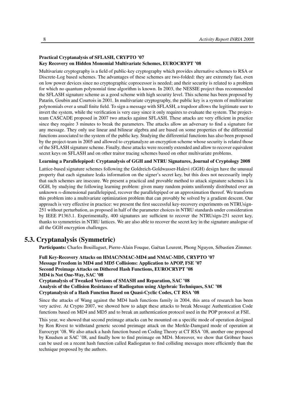#### Practical Cryptanalysis of SFLASH, CRYPTO '07 Key Recovery on Hidden Monomial Multivariate Schemes, EUROCRYPT '08

Multivariate cryptography is a field of public-key cryptography which provides alternative schemes to RSA or Discrete-Log based schemes. The advantages of these schemes are two-folded: they are extremely fast, even on low power devices since no cryptographic coprocessor is needed; and their security is related to a problem for which no quantum polynomial time algorithm is known. In 2003, the NESSIE project thus recommended the SFLASH signature scheme as a good scheme with high security level. This scheme has been proposed by Patarin, Goubin and Courtois in 2001. In multivariate cryptography, the public key is a system of multivariate polynomials over a small finite field. To sign a message with SFLASH, a trapdoor allows the legitimate user to invert the system, while the verification is very easy since it only requires to evaluate the system. The projectteam CASCADE proposed in 2007 two attacks against SFLASH. These attacks are very efficient in practice since they require 3 minutes to break the parameters. The attacks allow an adversary to find a signature for any message. They only use linear and bilinear algebra and are based on some properties of the differential functions associated to the system of the public key. Studying the differential functions has also been proposed by the project-team in 2005 and allowed to cryptanalyze an encryption scheme whose security is related those of the SFLASH signature scheme. Finally, these attacks were recently extended and allow to recover equivalent secret keys on SFLASH and on other traitor tracing schemes based on other multivariate problems.

#### Learning a Parallelepiped: Cryptanalysis of GGH and NTRU Signatures, Journal of Cryptology 2008

Lattice-based signature schemes following the Goldreich-Goldwasser-Halevi (GGH) design have the unusual property that each signature leaks information on the signer's secret key, but this does not necessarily imply that such schemes are insecure. We present a practical and provable method to attack signature schemes à la GGH, by studying the following learning problem: given many random points uniformly distributed over an unknown n-dimensional parallelepiped, recover the parallelepiped or an approximation thereof. We transform this problem into a multivariate optimization problem that can provably be solved by a gradient descent. Our approach is very effective in practice: we present the first successful key-recovery experiments on NTRUsign-251 without perturbation, as proposed in half of the parameter choices in NTRU standards under consideration by IEEE P1363.1. Experimentally, 400 signatures are sufficient to recover the NTRUsign-251 secret key, thanks to symmetries in NTRU lattices. We are also able to recover the secret key in the signature analogue of all the GGH encryption challenges.

## 5.3. Cryptanalysis (Symmetric)

<span id="page-11-0"></span>Participants: Charles Bouillaguet, Pierre-Alain Fouque, Gaëtan Leurent, Phong Nguyen, Sébastien Zimmer.

Full Key-Recovery Attacks on HMAC/NMAC-MD4 and NMAC-MD5, CRYPTO '07 Message Freedom in MD4 and MD5 Collisions: Application to APOP, FSE '07 Second Preimage Attacks on Dithered Hash Functions, EUROCRYPT '08 MD4 is Not One-Way, SAC '08 Cryptanalysis of Tweaked Versions of SMASH and Reparation, SAC '08

Analysis of the Collision Resistance of Radiogatun using Algebraic Techniques, SAC '08 Cryptanalysis of a Hash Function Based on Quasi-Cyclic Codes, CT RSA '08

Since the attacks of Wang against the MD4 hash functions family in 2004, this area of research has been very active. At Crypto 2007, we showed how to adapt these attacks to break Message Authentication Code functions based on MD4 and MD5 and to break an authentication protocol used in the POP protocol at FSE.

This year, we showed that second preimage attacks can be mounted on a specific mode of operation designed by Ron Rivest to withstand generic second preimage attack on the Merkle-Damgard mode of operation at Eurocrypt '08. We also attack a hash function based on Coding Theory at CT RSA '08, another one proposed by Knudsen at SAC '08, and finally how to find preimage on MD4. Moreover, we show that Gröbner bases can be used on a recent hash function called Radiogatun to find colliding messages more efficiently than the technique proposed by the authors.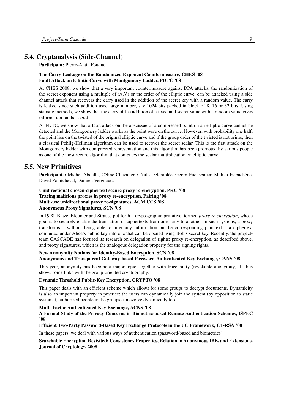## 5.4. Cryptanalysis (Side-Channel)

<span id="page-12-0"></span>Participant: Pierre-Alain Fouque.

#### The Carry Leakage on the Randomized Exponent Countermeasure, CHES '08 Fault Attack on Elliptic Curve with Montgomery Ladder, FDTC '08

At CHES 2008, we show that a very important countermeasure against DPA attacks, the randomization of the secret exponent using a multiple of  $\varphi(N)$  or the order of the elliptic curve, can be attacked using a side channel attack that recovers the carry used in the addition of the secret key with a random value. The carry is leaked since such addition used large number, say 1024 bits packed in block of 8, 16 or 32 bits. Using statistic methods, we show that the carry of the addition of a fixed and secret value with a random value gives information on the secret.

At FDTC, we show that a fault attack on the abscissae of a compressed point on an elliptic curve cannot be detected and the Montgomery ladder works as the point were on the curve. However, with probability one half, the point lies on the twisted of the original elliptic curve and if the group order of the twisted is not prime, then a classical Pohlig-Hellman algorithm can be used to recover the secret scalar. This is the first attack on the Montgomery ladder with compressed representation and this algorithm has been promoted by various people as one of the most secure algorithm that computes the scalar multiplication on elliptic curve.

### 5.5. New Primitives

<span id="page-12-1"></span>Participants: Michel Abdalla, Céline Chevalier, Cécile Delerablée, Georg Fuchsbauer, Malika Izabachène, David Pointcheval, Damien Vergnaud.

#### Unidirectional chosen-ciphertext secure proxy re-encryption, PKC '08 Tracing malicious proxies in proxy re-encryption, Pairing '08 Multi-use unidirectional proxy re-signatures, ACM CCS '08 Anonymous Proxy Signatures, SCN '08

In 1998, Blaze, Bleumer and Strauss put forth a cryptographic primitive, termed *proxy re-encryption*, whose goal is to securely enable the translation of ciphertexts from one party to another. In such systems, a proxy transforms – without being able to infer any information on the corresponding plaintext – a ciphertext computed under Alice's public key into one that can be opened using Bob's secret key. Recently, the projectteam CASCADE has focused its research on delegation of rights: proxy re-encryption, as described above, and proxy signatures, which is the analogous delegation property for the signing rights.

#### New Anonymity Notions for Identity-Based Encryption, SCN '08 Anonymous and Transparent Gateway-based Password-Authenticated Key Exchange, CANS '08

This year, anonymity has become a major topic, together with traceability (revokable anonymity). It thus shows some links with the group-oriented cryptography.

#### Dynamic Threshold Public-Key Encryption, CRYPTO '08

This paper deals with an efficient scheme which allows for some groups to decrypt documents. Dynamicity is also an important property in practice: the users can dynamically join the system (by opposition to static systems), authorized people in the groups can evolve dynamically too.

#### Multi-Factor Authenticated Key Exchange, ACNS '08

A Formal Study of the Privacy Concerns in Biometric-based Remote Authentication Schemes, ISPEC '08

#### Efficient Two-Party Password-Based Key Exchange Protocols in the UC Framework, CT-RSA '08

In these papers, we deal with various ways of authentication (password-based and biometrics).

#### Searchable Encryption Revisited: Consistency Properties, Relation to Anonymous IBE, and Extensions. Journal of Cryptology, 2008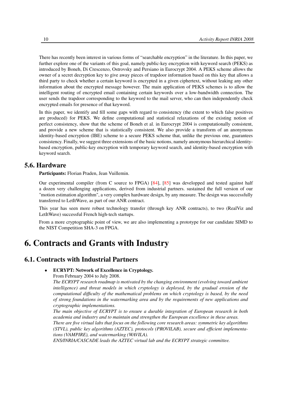There has recently been interest in various forms of "searchable encryption" in the literature. In this paper, we further explore one of the variants of this goal, namely public-key encryption with keyword search (PEKS) as introduced by Boneh, Di Crescenzo, Ostrovsky and Persiano in Eurocrypt 2004. A PEKS scheme allows the owner of a secret decryption key to give away pieces of trapdoor information based on this key that allows a third party to check whether a certain keyword is encrypted in a given ciphertext, without leaking any other information about the encrypted message however. The main application of PEKS schemes is to allow the intelligent routing of encrypted email containing certain keywords over a low-bandwidth connection. The user sends the trapdoor corresponding to the keyword to the mail server, who can then independently check encrypted emails for presence of that keyword.

In this paper, we identify and fill some gaps with regard to consistency (the extent to which false positives are produced) for PEKS. We define computational and statistical relaxations of the existing notion of perfect consistency, show that the scheme of Boneh et al. in Eurocrypt 2004 is computationally consistent, and provide a new scheme that is statistically consistent. We also provide a transform of an anonymous identity-based encryption (IBE) scheme to a secure PEKS scheme that, unlike the previous one, guarantees consistency. Finally, we suggest three extensions of the basic notions, namely anonymous hierarchical identitybased encryption, public-key encryption with temporary keyword search, and identity-based encryption with keyword search.

## 5.6. Hardware

<span id="page-13-0"></span>Participants: Florian Praden, Jean Vuillemin.

Our experimental compiler (from C source to FPGA) [\[84\]](#page-26-11), [\[85\]](#page-26-12) was developped and tested against half a dozen very challenging applications, derived from industrial partners. sustained the full version of our "motion estimation algorithm", a very complex hardware design, by any measure. The design was successfully transferred to LetItWave, as part of our ANR contract.

This year has seen more robust technology transfer (through key ANR contracts), to two (RealViz and LetItWave) successful French high-tech startups.

From a more cryptographic point of view, we are also implementing a prototype for our candidate SIMD to the NIST Competition SHA-3 on FPGA.

## <span id="page-13-1"></span>6. Contracts and Grants with Industry

### 6.1. Contracts with Industrial Partners

- <span id="page-13-2"></span>• ECRYPT: Network of Excellence in Cryptology.
	- From February 2004 to July 2008.

*The ECRYPT research roadmap is motivated by the changing environment (evolving toward ambient intelligence) and threat models in which cryptology is deployed, by the gradual erosion of the computational difficulty of the mathematical problems on which cryptology is based, by the need of strong foundations in the watermarking area and by the requirements of new applications and cryptographic implementations.*

*The main objective of ECRYPT is to ensure a durable integration of European research in both academia and industry and to maintain and strengthen the European excellence in these areas.*

*There are five virtual labs that focus on the following core research areas: symmetric key algorithms (STVL), public key algorithms (AZTEC), protocols (PROVILAB), secure and efficient implementations (VAMPIRE), and watermarking (WAVILA).*

*ENS/INRIA/CASCADE leads the AZTEC virtual lab and the ECRYPT strategic committee.*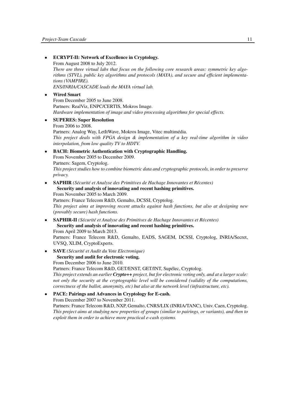• ECRYPT-II: Network of Excellence in Cryptology. From August 2008 to July 2012. *There are three virtual labs that focus on the following core research areas: symmetric key algorithms (STVL), public key algorithms and protocols (MAYA), and secure and efficient implementations (VAMPIRE). ENS/INRIA/CASCADE leads the MAYA virtual lab.* • Wired Smart From December 2005 to June 2008. Partners: RealViz, ENPC/CERTIS, Mokros Image. *Hardware implementation of image and video processing algorithms for special effects.* • SUPERES: Super Resolution From 2006 to 2008. Partners: Analog Way, LetItWave, Mokros Image, Vitec multimédia. *This project deals with FPGA design & implementation of a key real-time algorithm in video interpolation, from low quality TV to HDTV.* • BACH: Biometric Authentication with Cryptographic Handling. From November 2005 to December 2009. Partners: Sagem, Cryptolog. *This project studies how to combine biometric data and cryptographic protocols, in order to preserve privacy.* • SAPHIR *(Sécurité et Analyse des Primitives de Hachage Innovantes et Récentes)* Security and analysis of innovating and recent hashing primitives. From November 2005 to March 2009. Partners: France Telecom R&D, Gemalto, DCSSI, Cryptolog. *This project aims at improving recent attacks against hash functions, but also at designing new (provably secure) hash functions.* • SAPHIR-II *(Sécurité et Analyse des Primitives de Hachage Innovantes et Récentes)* Security and analysis of innovating and recent hashing primitives. From April 2009 to March 2013. Partners: France Telecom R&D, Gemalto, EADS, SAGEM, DCSSI, Cryptolog, INRIA/Secret, UVSQ, XLIM, CryptoExperts. • SAVE *(Sécurité et Audit du Vote Electronique)* Security and audit for electronic voting. From December 2006 to June 2010. Partners: France Telecom R&D, GET/ENST, GET/INT, Supélec, Cryptolog. *This project extends an earlier Crypto++ project, but for electronic voting only, and at a larger scale: not only the security at the cryptographic level will be considered (validity of the computations, correctness of the ballot, anonymity, etc) but also at the network level (infrastructure, etc).* • PACE: Pairings and Advances in Cryptology for E-cash. From December 2007 to November 2011. Partners: France Telecom R&D, NXP, Gemalto, CNRS/LIX (INRIA/TANC), Univ. Caen, Cryptolog. *This project aims at studying new properties of groups (similar to pairings, or variants), and then to*

*exploit them in order to achieve more practical e-cash systems.*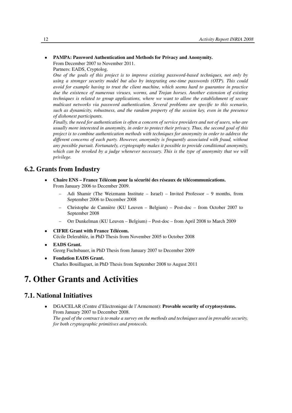#### • PAMPA: Password Authentication and Methods for Privacy and Anonymity. From December 2007 to November 2011.

Partners: EADS, Cryptolog.

*One of the goals of this project is to improve existing password-based techniques, not only by using a stronger security model but also by integrating one-time passwords (OTP). This could avoid for example having to trust the client machine, which seems hard to guarantee in practice due the existence of numerous viruses, worms, and Trojan horses. Another extension of existing techniques is related to group applications, where we want to allow the establishment of secure multicast networks via password authentication. Several problems are specific to this scenario, such as dynamicity, robustness, and the random property of the session key, even in the presence of dishonest participants.*

*Finally, the need for authentication is often a concern of service providers and not of users, who are usually more interested in anonymity, in order to protect their privacy. Thus, the second goal of this project is to combine authentication methods with techniques for anonymity in order to address the different concerns of each party. However, anonymity is frequently associated with fraud, without any possible pursuit. Fortunately, cryptography makes it possible to provide conditional anonymity, which can be revoked by a judge whenever necessary. This is the type of anonymity that we will privilege.*

## 6.2. Grants from Industry

- <span id="page-15-0"></span>• Chaire ENS – France Télécom pour la sécurité des réseaux de télécommunications. From January 2006 to December 2009.
	- Adi Shamir (The Weizmann Institute Israel) Invited Professor 9 months, from September 2006 to December 2008
	- Christophe de Cannière (KU Leuven Belgium) Post-doc from October 2007 to September 2008
	- Orr Dunkelman (KU Leuven Belgium) Post-doc from April 2008 to March 2009
- CIFRE Grant with France Télécom. Cécile Delerablée, in PhD Thesis from November 2005 to October 2008
- EADS Grant. Georg Fuchsbauer, in PhD Thesis from January 2007 to December 2009
- Fondation EADS Grant. Charles Bouillaguet, in PhD Thesis from September 2008 to August 2011

## <span id="page-15-1"></span>7. Other Grants and Activities

## <span id="page-15-2"></span>7.1. National Initiatives

• DGA/CELAR (Centre d'Electronique de l'Armement): Provable security of cryptosystems. From January 2007 to December 2008. *The goal of the contract is to make a survey on the methods and techniques used in provable security, for both cryptographic primitives and protocols.*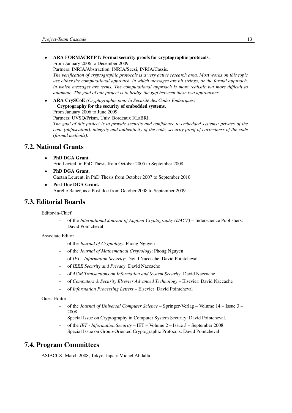• ARA FORMACRYPT: Formal security proofs for cryptographic protocols. From January 2006 to December 2009.

Partners: INRIA/Abstraction, INRIA/Secsi, INRIA/Cassis. *The verification of cryptographic protocols is a very active research area. Most works on this topic*

*use either the computational approach, in which messages are bit strings, or the formal approach, in which messages are terms. The computational approach is more realistic but more difficult to automate. The goal of our project is to bridge the gap between these two approaches.*

• ARA CrySCoE *(Cryptographie pour la Sécurité des Codes Embarqués)* Cryptography for the security of embedded systems. From January 2006 to June 2009.

Partners: UVSQ/Prism, Univ. Bordeaux I/LaBRI.

*The goal of this project is to provide security and confidence to embedded systems: privacy of the code (obfuscation), integrity and authenticity of the code, security proof of correctness of the code (formal methods).*

## 7.2. National Grants

- <span id="page-16-0"></span>PhD DGA Grant. Eric Levieil, in PhD Thesis from October 2005 to September 2008
- PhD DGA Grant. Gaëtan Leurent, in PhD Thesis from October 2007 to September 2010
- Post-Doc DGA Grant. Aurélie Bauer, as a Post-doc from October 2008 to September 2009

## 7.3. Editorial Boards

<span id="page-16-1"></span>Editor-in-Chief

– of the *International Journal of Applied Cryptography (IJACT)* – Inderscience Publishers: David Pointcheval

#### Associate Editor

- of the *Journal of Cryptology*: Phong Nguyen
- of the *Journal of Mathematical Cryptology*: Phong Nguyen
- of *IET Information Security*: David Naccache, David Pointcheval
- of *IEEE Security and Privacy*: David Naccache
- of *ACM Transactions on Information and System Security*: David Naccache
- of *Computers & Security Elsevier Advanced Technology* Elsevier: David Naccache
- of *Information Processing Letters* Elsevier: David Pointcheval

#### Guest Editor

- of the *Journal of Universal Computer Science* Springer-Verlag Volume 14 Issue 3 2008
	- Special Issue on Cryptography in Computer System Security: David Pointcheval.
- of the *IET Information Security* IET Volume 2 Issue 3 September 2008 Special Issue on Group-Oriented Cryptographic Protocols: David Pointcheval

## 7.4. Program Committees

<span id="page-16-2"></span>ASIACCS March 2008, Tokyo, Japan: Michel Abdalla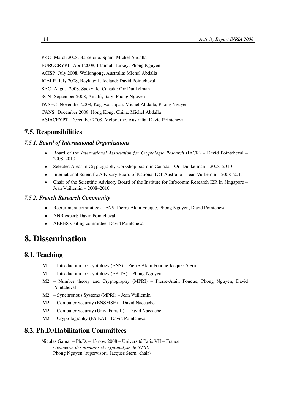PKC March 2008, Barcelona, Spain: Michel Abdalla EUROCRYPT April 2008, Istanbul, Turkey: Phong Nguyen ACISP July 2008, Wollongong, Australia: Michel Abdalla ICALP July 2008, Reykjavik, Iceland: David Pointcheval SAC August 2008, Sackville, Canada: Orr Dunkelman SCN September 2008, Amalfi, Italy: Phong Nguyen IWSEC November 2008, Kagawa, Japan: Michel Abdalla, Phong Nguyen CANS December 2008, Hong Kong, China: Michel Abdalla ASIACRYPT December 2008, Melbourne, Australia: David Pointcheval

## <span id="page-17-0"></span>7.5. Responsibilities

### *7.5.1. Board of International Organizations*

- <span id="page-17-1"></span>• Board of the *International Association for Cryptologic Research* (IACR) – David Pointcheval – 2008–2010
- Selected Areas in Cryptography workshop board in Canada Orr Dunkelman 2008–2010
- International Scientific Advisory Board of National ICT Australia Jean Vuillemin 2008–2011
- Chair of the Scientific Advisory Board of the Institute for Infocomm Research I2R in Singapore Jean Vuillemin – 2008–2010

#### *7.5.2. French Research Community*

- <span id="page-17-2"></span>• Recruitment committee at ENS: Pierre-Alain Fouque, Phong Nguyen, David Pointcheval
- ANR expert: David Pointcheval
- <span id="page-17-3"></span>• AERES visiting committee: David Pointcheval

## 8. Dissemination

## 8.1. Teaching

- <span id="page-17-4"></span>M1 – Introduction to Cryptology (ENS) – Pierre-Alain Fouque Jacques Stern
- M1 Introduction to Cryptology (EPITA) Phong Nguyen
- M2 Number theory and Cryptography (MPRI) Pierre-Alain Fouque, Phong Nguyen, David Pointcheval
- M2 Synchronous Systems (MPRI) Jean Vuillemin
- M2 Computer Security (ENSMSE) David Naccache
- M2 Computer Security (Univ. Paris II) David Naccache
- <span id="page-17-5"></span>M2 – Cryptolography (ESIEA) – David Pointcheval

### 8.2. Ph.D./Habilitation Committees

Nicolas Gama – Ph.D. – 13 nov. 2008 – Université Paris VII – France *Géométrie des nombres et cryptanalyse de NTRU* Phong Nguyen (supervisor), Jacques Stern (chair)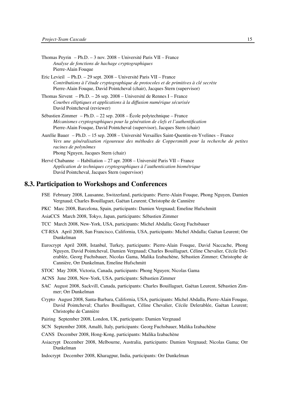- Thomas Peyrin Ph.D. 3 nov. 2008 Université Paris VII France *Analyse de fonctions de hachage cryptographiques* Pierre-Alain Fouque
- Eric Levieil Ph.D. 29 sept. 2008 Université Paris VII France *Contributions à l'étude cryptographique de protocoles et de primitives à clé secrète* Pierre-Alain Fouque, David Pointcheval (chair), Jacques Stern (supervisor)
- Thomas Sirvent Ph.D. 26 sep. 2008 Université de Rennes I France *Courbes elliptiques et applications à la diffusion numérique sécurisée* David Pointcheval (reviewer)
- Sébastien Zimmer Ph.D. 22 sep. 2008 École polytechnique France *Mécanismes cryptographiques pour la génération de clefs et l'authentification* Pierre-Alain Fouque, David Pointcheval (supervisor), Jacques Stern (chair)
- Aurélie Bauer Ph.D. 15 sep. 2008 Université Versailles Saint-Quentin-en-Yvelines France *Vers une généralisation rigoureuse des méthodes de Coppersmith pour la recherche de petites racines de polynômes* Phong Nguyen, Jacques Stern (chair)
- Hervé Chabanne Habiliation 27 apr. 2008 Université Paris VII France *Application de techniques cryptographiques à l'authentication biométrique* David Pointcheval, Jacques Stern (supervisor)

### 8.3. Participation to Workshops and Conferences

- <span id="page-18-0"></span>FSE February 2008, Lausanne, Switzerland, participants: Pierre-Alain Fouque, Phong Nguyen, Damien Vergnaud; Charles Bouillaguet, Gaëtan Leurent; Christophe de Cannière
- PKC Marc 2008, Barcelona, Spain, participants: Damien Vergnaud; Emeline Hufschmitt
- AsiaCCS March 2008, Tokyo, Japan, participants: Sébastien Zimmer
- TCC March 2008, New-York, USA, participants: Michel Abdalla; Georg Fuchsbauer
- CT-RSA April 2008, San Francisco, California, USA, participants: Michel Abdalla; Gaëtan Leurent; Orr Dunkelman
- Eurocrypt April 2008, Istanbul, Turkey, participants: Pierre-Alain Fouque, David Naccache, Phong Nguyen, David Pointcheval, Damien Vergnaud; Charles Bouillaguet, Céline Chevalier, Cécile Delerablée, Georg Fuchsbauer, Nicolas Gama, Malika Izabachène, Sébastien Zimmer; Christophe de Cannière, Orr Dunkelman, Emeline Hufschmitt
- STOC May 2008, Victoria, Canada, participants: Phong Nguyen; Nicolas Gama
- ACNS June 2008, New-York, USA, participants: Sébastien Zimmer
- SAC August 2008, Sackvill, Canada, participants: Charles Bouillaguet, Gaëtan Leurent, Sébastien Zimmer; Orr Dunkelman
- Crypto August 2008, Santa-Barbara, California, USA, participants: Michel Abdalla, Pierre-Alain Fouque, David Pointcheval; Charles Bouillaguet, Céline Chevalier, Cécile Delerablée, Gaëtan Leurent; Christophe de Cannière
- Pairing September 2008, London, UK, participants: Damien Vergnaud
- SCN September 2008, Amalfi, Italy, participants: Georg Fuchsbauer, Malika Izabachène
- CANS December 2008, Hong-Kong, participants: Malika Izabachène
- Asiacrypt December 2008, Melbourne, Australia, participants: Damien Vergnaud; Nicolas Gama; Orr Dunkelman
- Indocrypt December 2008, Kharagpur, India, participants: Orr Dunkelman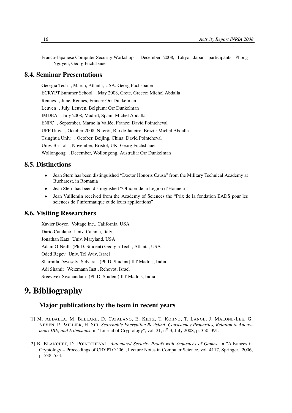Franco-Japanese Computer Security Workshop , December 2008, Tokyo, Japan, participants: Phong Nguyen; Georg Fuchsbauer

## 8.4. Seminar Presentations

<span id="page-19-0"></span>Georgia Tech , March, Atlanta, USA: Georg Fuchsbauer ECRYPT Summer School , May 2008, Crete, Greece: Michel Abdalla Rennes , June, Rennes, France: Orr Dunkelman Leuven , July, Leuven, Belgium: Orr Dunkelman IMDEA , July 2008, Madrid, Spain: Michel Abdalla ENPC , September, Marne la Vallée, France: David Pointcheval UFF Univ. , October 2008, Niterói, Rio de Janeiro, Brazil: Michel Abdalla Tsinghua Univ. , October, Beijing, China: David Pointcheval Univ. Bristol , November, Bristol, UK: Georg Fuchsbauer Wollongong , December, Wollongong, Australia: Orr Dunkelman

## 8.5. Distinctions

- <span id="page-19-1"></span>• Jean Stern has been distinguished "Doctor Honoris Causa" from the Military Technical Academy at Bucharest, in Romania
- Jean Stern has been distinguished "Officier de la Légion d'Honneur"
- Jean Vuillemin received from the Academy of Sciences the "Prix de la fondation EADS pour les sciences de l'informatique et de leurs applications"

## 8.6. Visiting Researchers

<span id="page-19-2"></span>Xavier Boyen Voltage Inc., California, USA Dario Catalano Univ. Catania, Italy Jonathan Katz Univ. Maryland, USA Adam O'Neill (Ph.D. Student) Georgia Tech., Atlanta, USA Oded Regev Univ. Tel Aviv, Israel Sharmila Devaselvi Selvaraj (Ph.D. Student) IIT Madras, India Adi Shamir Weizmann Inst., Rehovot, Israel Sreevivek Sivanandam (Ph.D. Student) IIT Madras, India

## <span id="page-19-3"></span>9. Bibliography

## Major publications by the team in recent years

- [1] M. ABDALLA, M. BELLARE, D. CATALANO, E. KILTZ, T. KOHNO, T. LANGE, J. MALONE-LEE, G. NEVEN, P. PAILLIER, H. SHI. *Searchable Encryption Revisited: Consistency Properties, Relation to Anonymous IBE, and Extensions, in "Journal of Cryptology", vol.* 21, n<sup>o</sup> 3, July 2008, p. 350–391.
- [2] B. BLANCHET, D. POINTCHEVAL. *Automated Security Proofs with Sequences of Games*, in "Advances in Cryptology – Proceedings of CRYPTO '06", Lecture Notes in Computer Science, vol. 4117, Springer, 2006, p. 538–554.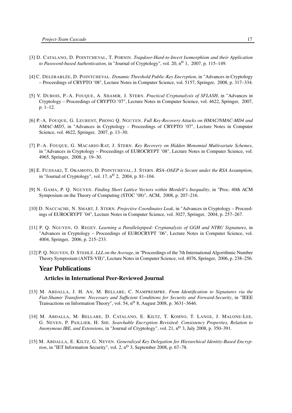- [3] D. CATALANO, D. POINTCHEVAL, T. PORNIN. *Trapdoor-Hard-to-Invert Isomorphism and their Application to Password-based Authentication*, in "Journal of Cryptology", vol. 20, n<sup>o</sup> 1, 2007, p. 115–149.
- [4] C. DELERABLÉE, D. POINTCHEVAL. *Dynamic Threshold Public-Key Encryption*, in "Advances in Cryptology – Proceedings of CRYPTO '08", Lecture Notes in Computer Science, vol. 5157, Springer, 2008, p. 317–334.
- [5] V. DUBOIS, P.-A. FOUQUE, A. SHAMIR, J. STERN. *Practical Cryptanalysis of SFLASH*, in "Advances in Cryptology – Proceedings of CRYPTO '07", Lecture Notes in Computer Science, vol. 4622, Springer, 2007, p. 1–12.
- [6] P.-A. FOUQUE, G. LEURENT, PHONG Q. NGUYEN. *Full Key-Recovery Attacks on HMAC/NMAC-MD4 and NMAC-MD5*, in "Advances in Cryptology – Proceedings of CRYPTO '07", Lecture Notes in Computer Science, vol. 4622, Springer, 2007, p. 13–30.
- [7] P.-A. FOUQUE, G. MACARIO-RAT, J. STERN. *Key Recovery on Hidden Monomial Multivariate Schemes*, in "Advances in Cryptology – Proceedings of EUROCRYPT '08", Lecture Notes in Computer Science, vol. 4965, Springer, 2008, p. 19–30.
- [8] E. FUJISAKI, T. OKAMOTO, D. POINTCHEVAL, J. STERN. *RSA–OAEP is Secure under the RSA Assumption*, in "Journal of Cryptology", vol. 17,  $n^{\circ}$  2, 2004, p. 81-104.
- [9] N. GAMA, P. Q. NGUYEN. *Finding Short Lattice Vectors within Mordell's Inequality*, in "Proc. 40th ACM Symposium on the Theory of Computing (STOC '08)", ACM, 2008, p. 207–216.
- [10] D. NACCACHE, N. SMART, J. STERN. *Projective Coordinates Leak*, in "Advances in Cryptology Proceedings of EUROCRYPT '04", Lecture Notes in Computer Science, vol. 3027, Springer, 2004, p. 257–267.
- [11] P. Q. NGUYEN, O. REGEV. *Learning a Parallelepiped: Cryptanalysis of GGH and NTRU Signatures*, in "Advances in Cryptology – Proceedings of EUROCRYPT '06", Lecture Notes in Computer Science, vol. 4004, Springer, 2006, p. 215–233.
- [12] P. Q. NGUYEN, D. STEHLÉ. *LLL on the Average*, in "Proceedings of the 7th International Algorithmic Number Theory Symposium (ANTS-VII)", Lecture Notes in Computer Science, vol. 4076, Springer, 2006, p. 238–256.

#### Year Publications

#### Articles in International Peer-Reviewed Journal

- [13] M. ABDALLA, J. H. AN, M. BELLARE, C. NAMPREMPRE. *From Identification to Signatures via the Fiat-Shamir Transform: Necessary and Sufficient Conditions for Security and Forward-Security*, in "IEEE Transactions on Information Theory", vol. 54,  $n^{\circ}$  8, August 2008, p. 3631–3646.
- [14] M. ABDALLA, M. BELLARE, D. CATALANO, E. KILTZ, T. KOHNO, T. LANGE, J. MALONE-LEE, G. NEVEN, P. PAILLIER, H. SHI. *Searchable Encryption Revisited: Consistency Properties, Relation to Anonymous IBE, and Extensions*, in "Journal of Cryptology", vol. 21, n<sup>o</sup> 3, July 2008, p. 350–391.
- [15] M. ABDALLA, E. KILTZ, G. NEVEN. *Generalized Key Delegation for Hierarchical Identity-Based Encryption*, in "IET Information Security", vol. 2,  $n^0$  3, September 2008, p. 67–78.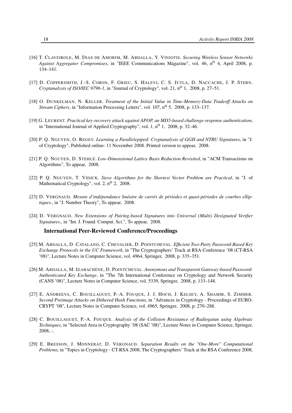- [16] T. CLAVEIROLE, M. DIAS DE AMORIM, M. ABDALLA, Y. VINIOTIS. *Securing Wireless Sensor Networks* Against Aggregator Compromises, in "IEEE Communications Magazine", vol. 46, n<sup>o</sup> 4, April 2008, p. 134–141.
- [17] D. COPPERSMITH, J.-S. CORON, F. GRIEU, S. HALEVI, C. S. JUTLA, D. NACCACHE, J. P. STERN. *Cryptanalysis of ISO/IEC 9796-1*, in "Journal of Cryptology", vol. 21, n<sup>o</sup> 1, 2008, p. 27–51.
- [18] O. DUNKELMAN, N. KELLER. *Treatment of the Initial Value in Time-Memory-Data Tradeoff Attacks on Stream Ciphers*, in "Information Processing Letters", vol. 107, n<sup>o</sup> 5, 2008, p. 133–137.
- [19] G. LEURENT. *Practical key-recovery attack against APOP, an MD5-based challenge-response authentication*, in "International Journal of Applied Cryptography", vol. 1,  $n^0$  1, 2008, p. 32–46.
- [20] P. Q. NGUYEN, O. REGEV. *Learning a Parallelepiped: Cryptanalysis of GGH and NTRU Signatures*, in "J. of Cryptology", Published online: 11 November 2008. Printed version to appear, 2008.
- [21] P. Q. NGUYEN, D. STEHLÉ. *Low-Dimensional Lattice Basis Reduction Revisited*, in "ACM Transactions on Algorithms", To appear, 2008.
- [22] P. Q. NGUYEN, T. VIDICK. *Sieve Algorithms for the Shortest Vector Problem are Practical*, in "J. of Mathematical Cryptology", vol. 2,  $n^0$  2, 2008.
- [23] D. VERGNAUD. *Mesure d'indépendance linéaire de carrés de périodes et quasi-périodes de courbes elliptiques.*, in "J. Number Theory", To appear, 2008.
- [24] D. VERGNAUD. *New Extensions of Pairing-based Signatures into Universal (Multi) Designated Verifier Signatures.*, in "Int. J. Found. Comput. Sci.", To appear, 2008.

#### International Peer-Reviewed Conference/Proceedings

- [25] M. ABDALLA, D. CATALANO, C. CHEVALIER, D. POINTCHEVAL. *Efficient Two-Party Password-Based Key Exchange Protocols in the UC Framework*, in "The Cryptographers' Track at RSA Conference '08 (CT-RSA '08)", Lecture Notes in Computer Science, vol. 4964, Springer, 2008, p. 335–351.
- [26] M. ABDALLA, M. IZABACHÈNE, D. POINTCHEVAL. *Anonymous and Transparent Gateway-based Password-Authenticated Key Exchange*, in "The 7th International Conference on Cryptology and Network Security (CANS '08)", Lecture Notes in Computer Science, vol. 5339, Springer, 2008, p. 133–148.
- [27] E. ANDREEVA, C. BOUILLAGUET, P.-A. FOUQUE, J. J. HOCH, J. KELSEY, A. SHAMIR, S. ZIMMER. *Second Preimage Attacks on Dithered Hash Functions*, in "Advances in Cryptology - Proceedings of EURO-CRYPT '08", Lecture Notes in Computer Science, vol. 4965, Springer, 2008, p. 270–288.
- [28] C. BOUILLAGUET, P.-A. FOUQUE. *Analysis of the Collision Resistance of Radiogatun using Algebraic Techniques*, in "Selected Area in Cryptography '08 (SAC '08)", Lecture Notes in Computer Science, Springer, 2008, -.
- [29] E. BRESSON, J. MONNERAT, D. VERGNAUD. *Separation Results on the "One-More" Computational Problems*, in "Topics in Cryptology - CT-RSA 2008, The Cryptographers' Track at the RSA Conference 2008,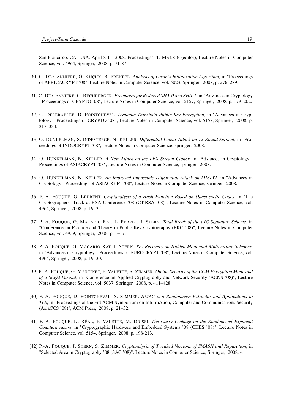San Francisco, CA, USA, April 8-11, 2008. Proceedings", T. MALKIN (editor), Lecture Notes in Computer Science, vol. 4964, Springer, 2008, p. 71-87.

- [30] C. DE CANNIÈRE, Ö. KÜÇÜK, B. PRENEEL. *Analysis of Grain's Initialization Algorithm*, in "Proceedings of AFRICACRYPT '08", Lecture Notes in Computer Science, vol. 5023, Springer, 2008, p. 276–289.
- [31] C. DE CANNIÈRE, C. RECHBERGER. *Preimages for Reduced SHA-0 and SHA-1*, in "Advances in Cryptology - Proceedings of CRYPTO '08", Lecture Notes in Computer Science, vol. 5157, Springer, 2008, p. 179–202.
- [32] C. DELERABLÉE, D. POINTCHEVAL. *Dynamic Threshold Public-Key Encryption*, in "Advances in Cryptology - Proceedings of CRYPTO '08", Lecture Notes in Computer Science, vol. 5157, Springer, 2008, p. 317–334.
- [33] O. DUNKELMAN, S. INDESTEEGE, N. KELLER. *Differential-Linear Attack on 12-Round Serpent*, in "Proceedings of INDOCRYPT '08", Lecture Notes in Computer Science, springer, 2008.
- [34] O. DUNKELMAN, N. KELLER. *A New Attack on the LEX Stream Cipher*, in "Advances in Cryptology Proceedings of ASIACRYPT '08", Lecture Notes in Computer Science, springer, 2008.
- [35] O. DUNKELMAN, N. KELLER. *An Improved Impossible Differential Attack on MISTY1*, in "Advances in Cryptology - Proceedings of ASIACRYPT '08", Lecture Notes in Computer Science, springer, 2008.
- [36] P.-A. FOUQUE, G. LEURENT. *Cryptanalysis of a Hash Function Based on Quasi-cyclic Codes*, in "The Cryptographers' Track at RSA Conference '08 (CT-RSA '08)", Lecture Notes in Computer Science, vol. 4964, Springer, 2008, p. 19–35.
- [37] P.-A. FOUQUE, G. MACARIO-RAT, L. PERRET, J. STERN. *Total Break of the l-IC Signature Scheme*, in "Conference on Practice and Theory in Public-Key Cryptography (PKC '08)", Lecture Notes in Computer Science, vol. 4939, Springer, 2008, p. 1–17.
- <span id="page-22-0"></span>[38] P.-A. FOUQUE, G. MACARIO-RAT, J. STERN. *Key Recovery on Hidden Monomial Multivariate Schemes*, in "Advances in Cryptology - Proceedings of EUROCRYPT '08", Lecture Notes in Computer Science, vol. 4965, Springer, 2008, p. 19–30.
- [39] P.-A. FOUQUE, G. MARTINET, F. VALETTE, S. ZIMMER. *On the Security of the CCM Encryption Mode and of a Slight Variant*, in "Conference on Applied Cryptography and Network Security (ACNS '08)", Lecture Notes in Computer Science, vol. 5037, Springer, 2008, p. 411–428.
- [40] P.-A. FOUQUE, D. POINTCHEVAL, S. ZIMMER. *HMAC is a Randomness Extractor and Applications to TLS*, in "Proceedings of the 3rd ACM Symposium on InformAtion, Computer and Communications Security (AsiaCCS '08)", ACM Press, 2008, p. 21–32.
- [41] P.-A. FOUQUE, D. RÉAL, F. VALETTE, M. DRISSI. *The Carry Leakage on the Randomized Exponent Countermeasure*, in "Cryptographic Hardware and Embedded Systems '08 (CHES '08)", Lecture Notes in Computer Science, vol. 5154, Springer, 2008, p. 198-213.
- [42] P.-A. FOUQUE, J. STERN, S. ZIMMER. *Cryptanalysis of Tweaked Versions of SMASH and Reparation*, in "Selected Area in Cryptography '08 (SAC '08)", Lecture Notes in Computer Science, Springer, 2008, -.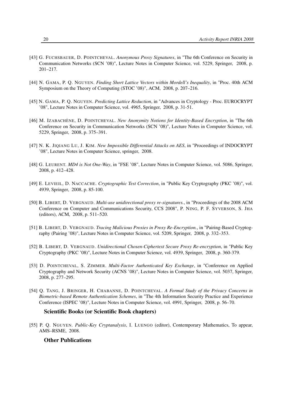- [43] G. FUCHSBAUER, D. POINTCHEVAL. *Anonymous Proxy Signatures*, in "The 6th Conference on Security in Communication Networks (SCN '08)", Lecture Notes in Computer Science, vol. 5229, Springer, 2008, p. 201–217.
- [44] N. GAMA, P. Q. NGUYEN. *Finding Short Lattice Vectors within Mordell's Inequality*, in "Proc. 40th ACM Symposium on the Theory of Computing (STOC '08)", ACM, 2008, p. 207–216.
- [45] N. GAMA, P. Q. NGUYEN. *Predicting Lattice Reduction*, in "Advances in Cryptology Proc. EUROCRYPT '08", Lecture Notes in Computer Science, vol. 4965, Springer, 2008, p. 31-51.
- [46] M. IZABACHÈNE, D. POINTCHEVAL. *New Anonymity Notions for Identity-Based Encryption*, in "The 6th Conference on Security in Communication Networks (SCN '08)", Lecture Notes in Computer Science, vol. 5229, Springer, 2008, p. 375–391.
- [47] N. K. JIQIANG LU, J. KIM. *New Impossible Differential Attacks on AES*, in "Proceedings of INDOCRYPT '08", Lecture Notes in Computer Science, springer, 2008.
- [48] G. LEURENT. *MD4 is Not One-Way*, in "FSE '08", Lecture Notes in Computer Science, vol. 5086, Springer, 2008, p. 412–428.
- [49] E. LEVIEIL, D. NACCACHE. *Cryptographic Test Correction*, in "Public Key Cryptography (PKC '08)", vol. 4939, Springer, 2008, p. 85-100.
- [50] B. LIBERT, D. VERGNAUD. *Multi-use unidirectional proxy re-signatures.*, in "Proceedings of the 2008 ACM Conference on Computer and Communications Security, CCS 2008", P. NING, P. F. SYVERSON, S. JHA (editors), ACM, 2008, p. 511–520.
- [51] B. LIBERT, D. VERGNAUD. *Tracing Malicious Proxies in Proxy Re-Encryption.*, in "Pairing-Based Cryptography (Pairing '08)", Lecture Notes in Computer Science, vol. 5209, Springer, 2008, p. 332–353.
- [52] B. LIBERT, D. VERGNAUD. *Unidirectional Chosen-Ciphertext Secure Proxy Re-encryption*, in "Public Key Cryptography (PKC '08)", Lecture Notes in Computer Science, vol. 4939, Springer, 2008, p. 360-379.
- [53] D. POINTCHEVAL, S. ZIMMER. *Multi-Factor Authenticated Key Exchange*, in "Conference on Applied Cryptography and Network Security (ACNS '08)", Lecture Notes in Computer Science, vol. 5037, Springer, 2008, p. 277–295.
- [54] Q. TANG, J. BRINGER, H. CHABANNE, D. POINTCHEVAL. *A Formal Study of the Privacy Concerns in Biometric-based Remote Authentication Schemes*, in "The 4th Information Security Practice and Experience Conference (ISPEC '08)", Lecture Notes in Computer Science, vol. 4991, Springer, 2008, p. 56–70.

#### Scientific Books (or Scientific Book chapters)

[55] P. Q. NGUYEN. *Public-Key Cryptanalysis*, I. LUENGO (editor), Contemporary Mathematics, To appear, AMS–RSME, 2008.

#### Other Publications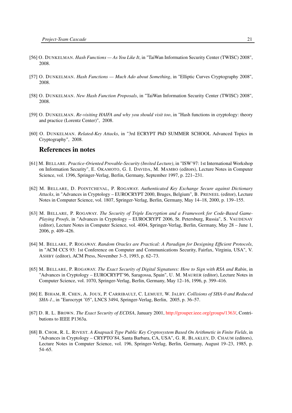- [56] O. DUNKELMAN. *Hash Functions As You Like It*, in "TaiWan Information Security Center (TWISC) 2008", 2008.
- [57] O. DUNKELMAN. *Hash Functions Much Ado about Something*, in "Elliptic Curves Cryptography 2008", 2008.
- [58] O. DUNKELMAN. *New Hash Function Proposals*, in "TaiWan Information Security Center (TWISC) 2008", 2008.
- [59] O. DUNKELMAN. *Re-visiting HAIFA and why you should visit too*, in "Hash functions in cryptology: theory and practice (Lorentz Center)", 2008.
- [60] O. DUNKELMAN. *Related-Key Attacks*, in "3rd ECRYPT PhD SUMMER SCHOOL Advanced Topics in Cryptography", 2008.

### References in notes

- <span id="page-24-2"></span>[61] M. BELLARE. *Practice-Oriented Provable-Security (Invited Lecture)*, in "ISW'97: 1st International Workshop on Information Security", E. OKAMOTO, G. I. DAVIDA, M. MAMBO (editors), Lecture Notes in Computer Science, vol. 1396, Springer-Verlag, Berlin, Germany, September 1997, p. 221–231.
- <span id="page-24-4"></span>[62] M. BELLARE, D. POINTCHEVAL, P. ROGAWAY. *Authenticated Key Exchange Secure against Dictionary Attacks*, in "Advances in Cryptology – EUROCRYPT 2000, Bruges, Belgium", B. PRENEEL (editor), Lecture Notes in Computer Science, vol. 1807, Springer-Verlag, Berlin, Germany, May 14–18, 2000, p. 139–155.
- <span id="page-24-6"></span>[63] M. BELLARE, P. ROGAWAY. *The Security of Triple Encryption and a Framework for Code-Based Game-Playing Proofs*, in "Advances in Cryptology – EUROCRYPT 2006, St. Petersburg, Russia", S. VAUDENAY (editor), Lecture Notes in Computer Science, vol. 4004, Springer-Verlag, Berlin, Germany, May 28 – June 1, 2006, p. 409–426.
- <span id="page-24-3"></span>[64] M. BELLARE, P. ROGAWAY. *Random Oracles are Practical: A Paradigm for Designing Efficient Protocols*, in "ACM CCS 93: 1st Conference on Computer and Communications Security, Fairfax, Virginia, USA", V. ASHBY (editor), ACM Press, November 3–5, 1993, p. 62–73.
- <span id="page-24-1"></span>[65] M. BELLARE, P. ROGAWAY. *The Exact Security of Digital Signatures: How to Sign with RSA and Rabin*, in "Advances in Cryptology – EUROCRYPT'96, Saragossa, Spain", U. M. MAURER (editor), Lecture Notes in Computer Science, vol. 1070, Springer-Verlag, Berlin, Germany, May 12–16, 1996, p. 399–416.
- <span id="page-24-7"></span>[66] E. BIHAM, R. CHEN, A. JOUX, P. CARRIBAULT, C. LEMUET, W. JALBY. *Collisions of SHA-0 and Reduced SHA-1.*, in "Eurocrypt '05", LNCS 3494, Springer-Verlag, Berlin, 2005, p. 36–57.
- <span id="page-24-5"></span>[67] D. R. L. BROWN. *The Exact Security of ECDSA*, January 2001, [http://grouper.ieee.org/groups/1363/,](http://grouper.ieee.org/groups/1363/) Contributions to IEEE P1363a.
- <span id="page-24-0"></span>[68] B. CHOR, R. L. RIVEST. *A Knapsack Type Public Key Cryptosystem Based On Arithmetic in Finite Fields*, in "Advances in Cryptology – CRYPTO'84, Santa Barbara, CA, USA", G. R. BLAKLEY, D. CHAUM (editors), Lecture Notes in Computer Science, vol. 196, Springer-Verlag, Berlin, Germany, August 19–23, 1985, p. 54–65.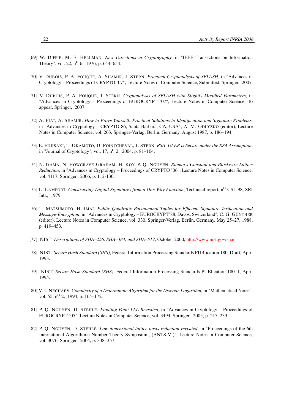- <span id="page-25-0"></span>[69] W. DIFFIE, M. E. HELLMAN. *New Directions in Cryptography*, in "IEEE Transactions on Information Theory", vol. 22,  $n^{O}$  6, 1976, p. 644–654.
- <span id="page-25-3"></span>[70] V. DUBOIS, P. A. FOUQUE, A. SHAMIR, J. STERN. *Practical Cryptanalysis of SFLASH*, in "Advances in Cryptology – Proceedings of CRYPTO '07", Lecture Notes in Computer Science, Submitted, Springer, 2007.
- <span id="page-25-2"></span>[71] V. DUBOIS, P. A. FOUQUE, J. STERN. *Cryptanalysis of SFLASH with Slightly Modified Parameters*, in "Advances in Cryptology – Proceedings of EUROCRYPT '07", Lecture Notes in Computer Science, To appear, Springer, 2007.
- <span id="page-25-5"></span>[72] A. FIAT, A. SHAMIR. *How to Prove Yourself: Practical Solutions to Identification and Signature Problems*, in "Advances in Cryptology – CRYPTO'86, Santa Barbara, CA, USA", A. M. ODLYZKO (editor), Lecture Notes in Computer Science, vol. 263, Springer-Verlag, Berlin, Germany, August 1987, p. 186–194.
- <span id="page-25-7"></span>[73] E. FUJISAKI, T. OKAMOTO, D. POINTCHEVAL, J. STERN. *RSA–OAEP is Secure under the RSA Assumption*, in "Journal of Cryptology", vol. 17,  $n^{\circ}$  2, 2004, p. 81–104.
- <span id="page-25-8"></span>[74] N. GAMA, N. HOWGRAVE-GRAHAM, H. KOY, P. Q. NGUYEN. *Rankin's Constant and Blockwise Lattice Reduction*, in "Advances in Cryptology – Proceedings of CRYPTO '06", Lecture Notes in Computer Science, vol. 4117, Springer, 2006, p. 112-130.
- <span id="page-25-4"></span>[75] L. LAMPORT. *Constructing Digital Signatures from a One-Way Function*, Technical report, n<sup>o</sup> CSL 98, SRI Intl., 1979.
- <span id="page-25-1"></span>[76] T. MATSUMOTO, H. IMAI. *Public Quadratic Polynominal-Tuples for Efficient Signature-Verification and Message-Encryption*, in "Advances in Cryptology – EUROCRYPT'88, Davos, Switzerland", C. G. GÜNTHER (editor), Lecture Notes in Computer Science, vol. 330, Springer-Verlag, Berlin, Germany, May 25–27, 1988, p. 419–453.
- <span id="page-25-13"></span>[77] NIST. *Descriptions of SHA–256, SHA–384, and SHA–512*, October 2000, [http://www.nist.gov/sha/.](http://www.nist.gov/sha/)
- <span id="page-25-11"></span>[78] NIST. *Secure Hash Standard (SHS)*, Federal Information Processing Standards PUBlication 180, Draft, April 1993.
- <span id="page-25-12"></span>[79] NIST. *Secure Hash Standard (SHS)*, Federal Information Processing Standards PUBlication 180–1, April 1995.
- <span id="page-25-6"></span>[80] V. I. NECHAEV. *Complexity of a Determinate Algorithm for the Discrete Logarithm*, in "Mathematical Notes", vol. 55,  $n^{\circ}$  2, 1994, p. 165–172.
- <span id="page-25-9"></span>[81] P. Q. NGUYEN, D. STEHLÉ. *Floating-Point LLL Revisited*, in "Advances in Cryptology – Proceedings of EUROCRYPT '05", Lecture Notes in Computer Science, vol. 3494, Springer, 2005, p. 215–233.
- <span id="page-25-10"></span>[82] P. Q. NGUYEN, D. STEHLÉ. *Low-dimensional lattice basis reduction revisited*, in "Proceedings of the 6th International Algorithmic Number Theory Symposium, (ANTS-VI)", Lecture Notes in Computer Science, vol. 3076, Springer, 2004, p. 338–357.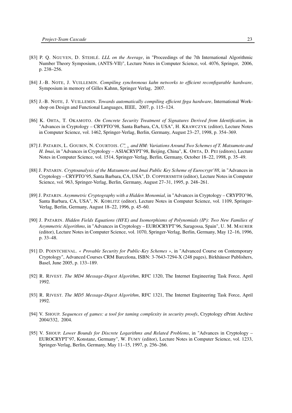- <span id="page-26-8"></span>[83] P. Q. NGUYEN, D. STEHLÉ. *LLL on the Average*, in "Proceedings of the 7th International Algorithmic Number Theory Symposium, (ANTS-VII)", Lecture Notes in Computer Science, vol. 4076, Springer, 2006, p. 238–256.
- <span id="page-26-11"></span>[84] J.-B. NOTE, J. VUILLEMIN. *Compiling synchronous kahn networks to efficient reconfigurable hardware*, Symposium in memory of Gilles Kahnn, Springer Verlag, 2007.
- <span id="page-26-12"></span>[85] J.-B. NOTE, J. VUILLEMIN. *Towards automatically compiling efficient fpga hardware*, International Workshop on Design and Functional Languages, IEEE, 2007, p. 115–124.
- <span id="page-26-4"></span>[86] K. OHTA, T. OKAMOTO. *On Concrete Security Treatment of Signatures Derived from Identification*, in "Advances in Cryptology – CRYPTO'98, Santa Barbara, CA, USA", H. KRAWCZYK (editor), Lecture Notes in Computer Science, vol. 1462, Springer-Verlag, Berlin, Germany, August 23–27, 1998, p. 354–369.
- <span id="page-26-3"></span>[87] J. PATARIN, L. GOUBIN, N. COURTOIS.  $C^*_{-+}$  and HM: Variations Around Two Schemes of T. Matsumoto and *H. Imai*, in "Advances in Cryptology – ASIACRYPT'98, Beijing, China", K. OHTA, D. PEI (editors), Lecture Notes in Computer Science, vol. 1514, Springer-Verlag, Berlin, Germany, October 18–22, 1998, p. 35–49.
- <span id="page-26-0"></span>[88] J. PATARIN. *Cryptoanalysis of the Matsumoto and Imai Public Key Scheme of Eurocrypt'88*, in "Advances in Cryptology – CRYPTO'95, Santa Barbara, CA, USA", D. COPPERSMITH (editor), Lecture Notes in Computer Science, vol. 963, Springer-Verlag, Berlin, Germany, August 27–31, 1995, p. 248–261.
- <span id="page-26-2"></span>[89] J. PATARIN. *Asymmetric Cryptography with a Hidden Monomial*, in "Advances in Cryptology – CRYPTO'96, Santa Barbara, CA, USA", N. KOBLITZ (editor), Lecture Notes in Computer Science, vol. 1109, Springer-Verlag, Berlin, Germany, August 18–22, 1996, p. 45–60.
- <span id="page-26-1"></span>[90] J. PATARIN. *Hidden Fields Equations (HFE) and Isomorphisms of Polynomials (IP): Two New Families of Asymmetric Algorithms*, in "Advances in Cryptology – EUROCRYPT'96, Saragossa, Spain", U. M. MAURER (editor), Lecture Notes in Computer Science, vol. 1070, Springer-Verlag, Berlin, Germany, May 12–16, 1996, p. 33–48.
- <span id="page-26-7"></span>[91] D. POINTCHEVAL. *« Provable Security for Public-Key Schemes »*, in "Advanced Course on Contemporary Cryptology", Advanced Courses CRM Barcelona, ISBN: 3-7643-7294-X (248 pages), Birkhäuser Publishers, Basel, June 2005, p. 133–189.
- <span id="page-26-10"></span>[92] R. RIVEST. *The MD4 Message-Digest Algorithm*, RFC 1320, The Internet Engineering Task Force, April 1992.
- <span id="page-26-9"></span>[93] R. RIVEST. *The MD5 Message-Digest Algorithm*, RFC 1321, The Internet Engineering Task Force, April 1992.
- <span id="page-26-6"></span>[94] V. SHOUP. *Sequences of games: a tool for taming complexity in security proofs*, Cryptology ePrint Archive 2004/332, 2004.
- <span id="page-26-5"></span>[95] V. SHOUP. *Lower Bounds for Discrete Logarithms and Related Problems*, in "Advances in Cryptology – EUROCRYPT'97, Konstanz, Germany", W. FUMY (editor), Lecture Notes in Computer Science, vol. 1233, Springer-Verlag, Berlin, Germany, May 11–15, 1997, p. 256–266.